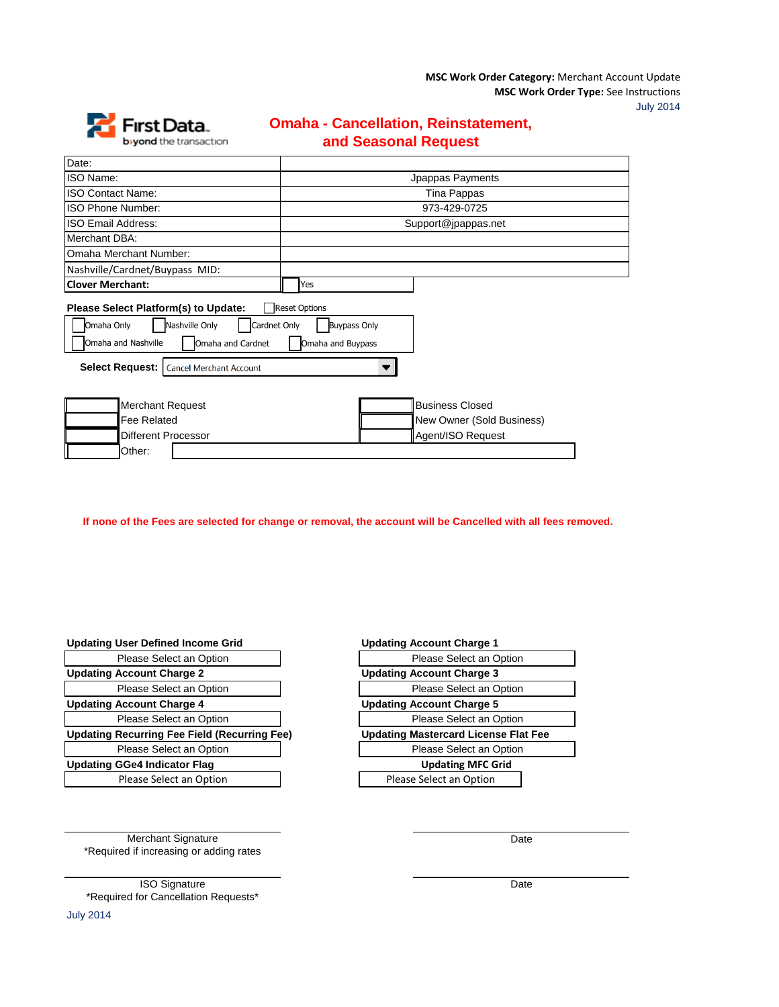**MSC Work Order Type:** See Instructions **MSC Work Order Category:** Merchant Account Update

July 2014



## **Omaha - Cancellation, Reinstatement, and Seasonal Request**

| Date:                                                                                                                                                            |                                                                                  |  |
|------------------------------------------------------------------------------------------------------------------------------------------------------------------|----------------------------------------------------------------------------------|--|
| <b>ISO Name:</b>                                                                                                                                                 | Jpappas Payments                                                                 |  |
| <b>ISO Contact Name:</b>                                                                                                                                         | Tina Pappas                                                                      |  |
| ISO Phone Number:                                                                                                                                                | 973-429-0725                                                                     |  |
| <b>ISO Email Address:</b>                                                                                                                                        | Support@jpappas.net                                                              |  |
| Merchant DBA:                                                                                                                                                    |                                                                                  |  |
| Omaha Merchant Number:                                                                                                                                           |                                                                                  |  |
| Nashville/Cardnet/Buypass MID:                                                                                                                                   |                                                                                  |  |
| <b>Clover Merchant:</b>                                                                                                                                          | Yes                                                                              |  |
| Please Select Platform(s) to Update:<br>Nashville Only<br>Omaha Only<br>Omaha and Nashville<br>Omaha and Cardnet<br>Select Request:  <br>Cancel Merchant Account | <b>Reset Options</b><br>Cardnet Only<br><b>Buypass Only</b><br>Omaha and Buypass |  |
| <b>Merchant Request</b><br><b>Fee Related</b><br><b>Different Processor</b><br>Other:                                                                            | <b>Business Closed</b><br>New Owner (Sold Business)<br>Agent/ISO Request         |  |

 **If none of the Fees are selected for change or removal, the account will be Cancelled with all fees removed.**

## **Updating User Defined Income Grid**

| Please Select an Option                             | Please Select an Option                |
|-----------------------------------------------------|----------------------------------------|
| <b>Updating Account Charge 2</b>                    | <b>Updating Account Charge 3</b>       |
| Please Select an Option                             | Please Select an Option                |
| <b>Updating Account Charge 4</b>                    | <b>Updating Account Charge 5</b>       |
| Please Select an Option                             | Please Select an Option                |
| <b>Updating Recurring Fee Field (Recurring Fee)</b> | <b>Updating Mastercard License Fla</b> |
| Please Select an Option                             | Please Select an Option                |
| <b>Updating GGe4 Indicator Flag</b>                 | <b>Updating MFC Grid</b>               |
| Please Select an Option                             | Please Select an Option                |
|                                                     |                                        |

| <b>Updating Account Charge 1</b>            |  |  |
|---------------------------------------------|--|--|
| Please Select an Option                     |  |  |
| <b>Updating Account Charge 3</b>            |  |  |
| Please Select an Option                     |  |  |
| <b>Updating Account Charge 5</b>            |  |  |
| Please Select an Option                     |  |  |
| <b>Updating Mastercard License Flat Fee</b> |  |  |
| Please Select an Option                     |  |  |
| <b>Updating MFC Grid</b>                    |  |  |
| Please Select an Option                     |  |  |
|                                             |  |  |

Date

Merchant Signature \*Required if increasing or adding rates

ISO Signature \*Required for Cancellation Requests\* Date